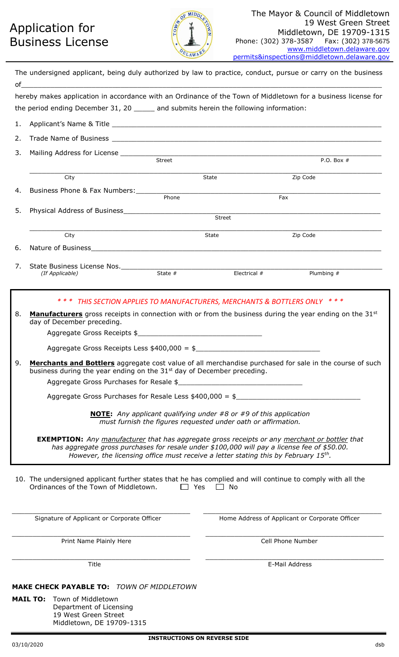## Application for Business License



|    | The undersigned applicant, being duly authorized by law to practice, conduct, pursue or carry on the business                                                                                                                                                                             |        |                                                                      |                                                |  |  |
|----|-------------------------------------------------------------------------------------------------------------------------------------------------------------------------------------------------------------------------------------------------------------------------------------------|--------|----------------------------------------------------------------------|------------------------------------------------|--|--|
|    | hereby makes application in accordance with an Ordinance of the Town of Middletown for a business license for                                                                                                                                                                             |        |                                                                      |                                                |  |  |
|    | the period ending December 31, 20 _____ and submits herein the following information:                                                                                                                                                                                                     |        |                                                                      |                                                |  |  |
| 1. |                                                                                                                                                                                                                                                                                           |        |                                                                      |                                                |  |  |
| 2. |                                                                                                                                                                                                                                                                                           |        |                                                                      |                                                |  |  |
| 3. |                                                                                                                                                                                                                                                                                           |        |                                                                      |                                                |  |  |
|    |                                                                                                                                                                                                                                                                                           | Street |                                                                      | P.O. Box $#$                                   |  |  |
|    | City                                                                                                                                                                                                                                                                                      |        | State                                                                | Zip Code                                       |  |  |
| 4. |                                                                                                                                                                                                                                                                                           | Phone  |                                                                      | Fax                                            |  |  |
| 5. |                                                                                                                                                                                                                                                                                           |        |                                                                      |                                                |  |  |
|    |                                                                                                                                                                                                                                                                                           |        | Street                                                               |                                                |  |  |
|    | City                                                                                                                                                                                                                                                                                      |        | State                                                                | Zip Code                                       |  |  |
| 6. |                                                                                                                                                                                                                                                                                           |        |                                                                      |                                                |  |  |
|    |                                                                                                                                                                                                                                                                                           |        |                                                                      |                                                |  |  |
| 7. | State Business License Nos.<br>(If Applicable) State # State #                                                                                                                                                                                                                            |        | Electrical #                                                         | Plumbing #                                     |  |  |
|    |                                                                                                                                                                                                                                                                                           |        |                                                                      |                                                |  |  |
|    | * * *                                                                                                                                                                                                                                                                                     |        | THIS SECTION APPLIES TO MANUFACTURERS, MERCHANTS & BOTTLERS ONLY *** |                                                |  |  |
| 8. | Manufacturers gross receipts in connection with or from the business during the year ending on the 31 <sup>st</sup><br>day of December preceding.                                                                                                                                         |        |                                                                      |                                                |  |  |
|    | Aggregate Gross Receipts \$                                                                                                                                                                                                                                                               |        |                                                                      |                                                |  |  |
|    | Aggregate Gross Receipts Less $$400,000 = $$                                                                                                                                                                                                                                              |        |                                                                      |                                                |  |  |
| 9. | Merchants and Bottlers aggregate cost value of all merchandise purchased for sale in the course of such<br>business during the year ending on the 31 <sup>st</sup> day of December preceding.                                                                                             |        |                                                                      |                                                |  |  |
|    | Aggregate Gross Purchases for Resale \$                                                                                                                                                                                                                                                   |        |                                                                      |                                                |  |  |
|    | Aggregate Gross Purchases for Resale Less $$400,000 = $$                                                                                                                                                                                                                                  |        |                                                                      |                                                |  |  |
|    | <b>NOTE:</b> Any applicant qualifying under #8 or #9 of this application<br>must furnish the figures requested under oath or affirmation.                                                                                                                                                 |        |                                                                      |                                                |  |  |
|    | <b>EXEMPTION:</b> Any manufacturer that has aggregate gross receipts or any merchant or bottler that<br>has aggregate gross purchases for resale under \$100,000 will pay a license fee of \$50.00.<br>However, the licensing office must receive a letter stating this by February 15th. |        |                                                                      |                                                |  |  |
|    | 10. The undersigned applicant further states that he has complied and will continue to comply with all the<br>Ordinances of the Town of Middletown.                                                                                                                                       |        | $\Box$ Yes $\Box$ No                                                 |                                                |  |  |
|    | Signature of Applicant or Corporate Officer                                                                                                                                                                                                                                               |        |                                                                      | Home Address of Applicant or Corporate Officer |  |  |
|    | Print Name Plainly Here                                                                                                                                                                                                                                                                   |        |                                                                      | Cell Phone Number                              |  |  |
|    | Title                                                                                                                                                                                                                                                                                     |        |                                                                      | E-Mail Address                                 |  |  |
|    | <b>MAKE CHECK PAYABLE TO: TOWN OF MIDDLETOWN</b><br><b>MAIL TO:</b><br>Town of Middletown<br>Department of Licensing<br>19 West Green Street<br>Middletown, DE 19709-1315                                                                                                                 |        |                                                                      |                                                |  |  |

**MID** 

LAWA